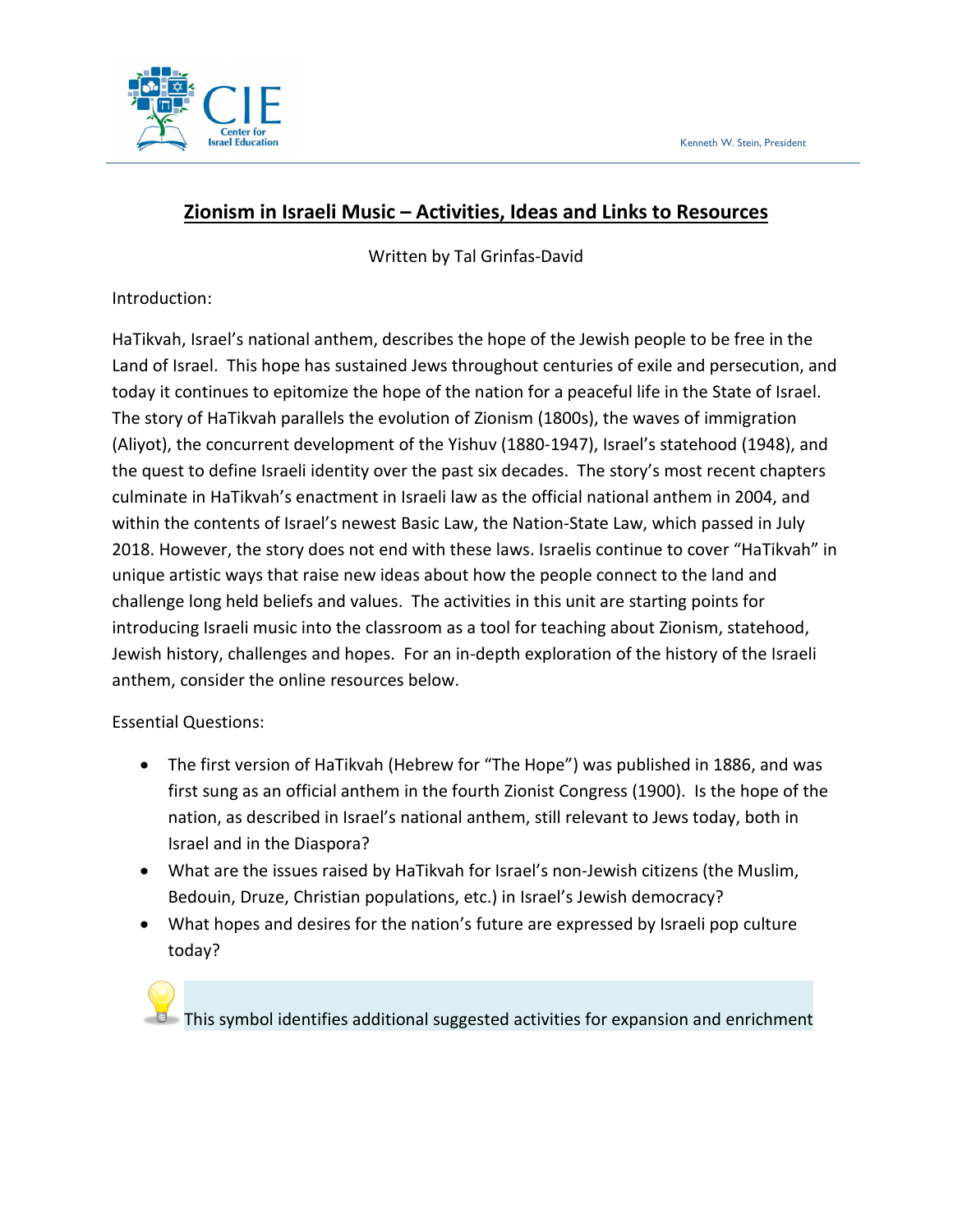

### **Zionism in Israeli Music – Activities, Ideas and Links to Resources**

Written by Tal Grinfas-David

Introduction:

HaTikvah, Israel's national anthem, describes the hope of the Jewish people to be free in the Land of Israel. This hope has sustained Jews throughout centuries of exile and persecution, and today it continues to epitomize the hope of the nation for a peaceful life in the State of Israel. The story of HaTikvah parallels the evolution of Zionism (1800s), the waves of immigration (Aliyot), the concurrent development of the Yishuv (1880-1947), Israel's statehood (1948), and the quest to define Israeli identity over the past six decades. The story's most recent chapters culminate in HaTikvah's enactment in Israeli law as the official national anthem in 2004, and within the contents of Israel's newest Basic Law, the Nation-State Law, which passed in July 2018. However, the story does not end with these laws. Israelis continue to cover "HaTikvah" in unique artistic ways that raise new ideas about how the people connect to the land and challenge long held beliefs and values. The activities in this unit are starting points for introducing Israeli music into the classroom as a tool for teaching about Zionism, statehood, Jewish history, challenges and hopes. For an in-depth exploration of the history of the Israeli anthem, consider the online resources below.

Essential Questions:

- The first version of HaTikvah (Hebrew for "The Hope") was published in 1886, and was first sung as an official anthem in the fourth Zionist Congress (1900). Is the hope of the nation, as described in Israel's national anthem, still relevant to Jews today, both in Israel and in the Diaspora?
- What are the issues raised by HaTikvah for Israel's non-Jewish citizens (the Muslim, Bedouin, Druze, Christian populations, etc.) in Israel's Jewish democracy?
- What hopes and desires for the nation's future are expressed by Israeli pop culture today?

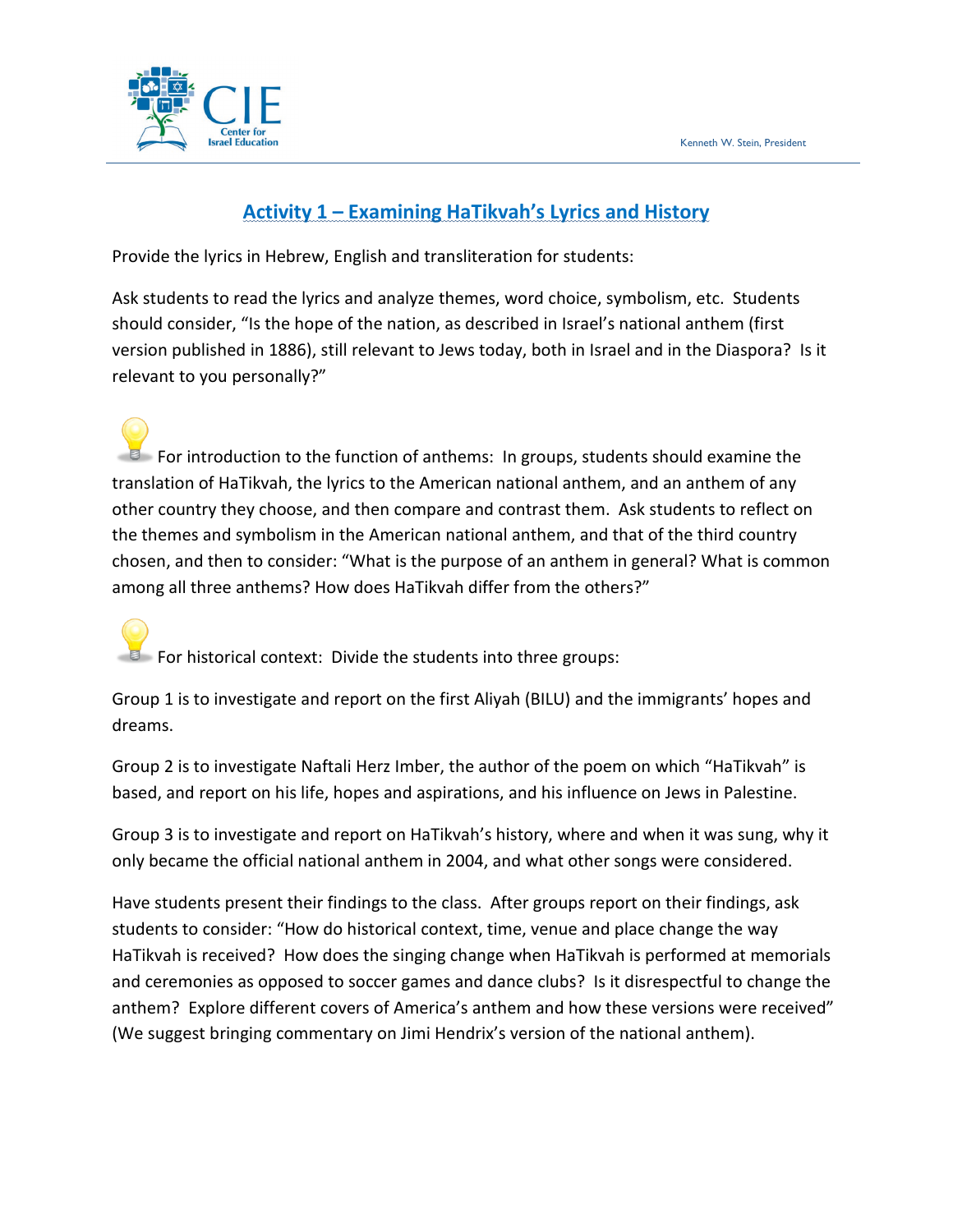

## **Activity 1 – Examining HaTikvah's Lyrics and History**

Provide the lyrics in Hebrew, English and transliteration for students:

Ask students to read the lyrics and analyze themes, word choice, symbolism, etc. Students should consider, "Is the hope of the nation, as described in Israel's national anthem (first version published in 1886), still relevant to Jews today, both in Israel and in the Diaspora? Is it relevant to you personally?"

For introduction to the function of anthems: In groups, students should examine the translation of HaTikvah, the lyrics to the American national anthem, and an anthem of any other country they choose, and then compare and contrast them. Ask students to reflect on the themes and symbolism in the American national anthem, and that of the third country chosen, and then to consider: "What is the purpose of an anthem in general? What is common among all three anthems? How does HaTikvah differ from the others?"

 $\mathbb{B}$  For historical context: Divide the students into three groups:

Group 1 is to investigate and report on the first Aliyah (BILU) and the immigrants' hopes and dreams.

Group 2 is to investigate Naftali Herz Imber, the author of the poem on which "HaTikvah" is based, and report on his life, hopes and aspirations, and his influence on Jews in Palestine.

Group 3 is to investigate and report on HaTikvah's history, where and when it was sung, why it only became the official national anthem in 2004, and what other songs were considered.

Have students present their findings to the class. After groups report on their findings, ask students to consider: "How do historical context, time, venue and place change the way HaTikvah is received? How does the singing change when HaTikvah is performed at memorials and ceremonies as opposed to soccer games and dance clubs? Is it disrespectful to change the anthem? Explore different covers of America's anthem and how these versions were received" (We suggest bringing commentary on Jimi Hendrix's version of the national anthem).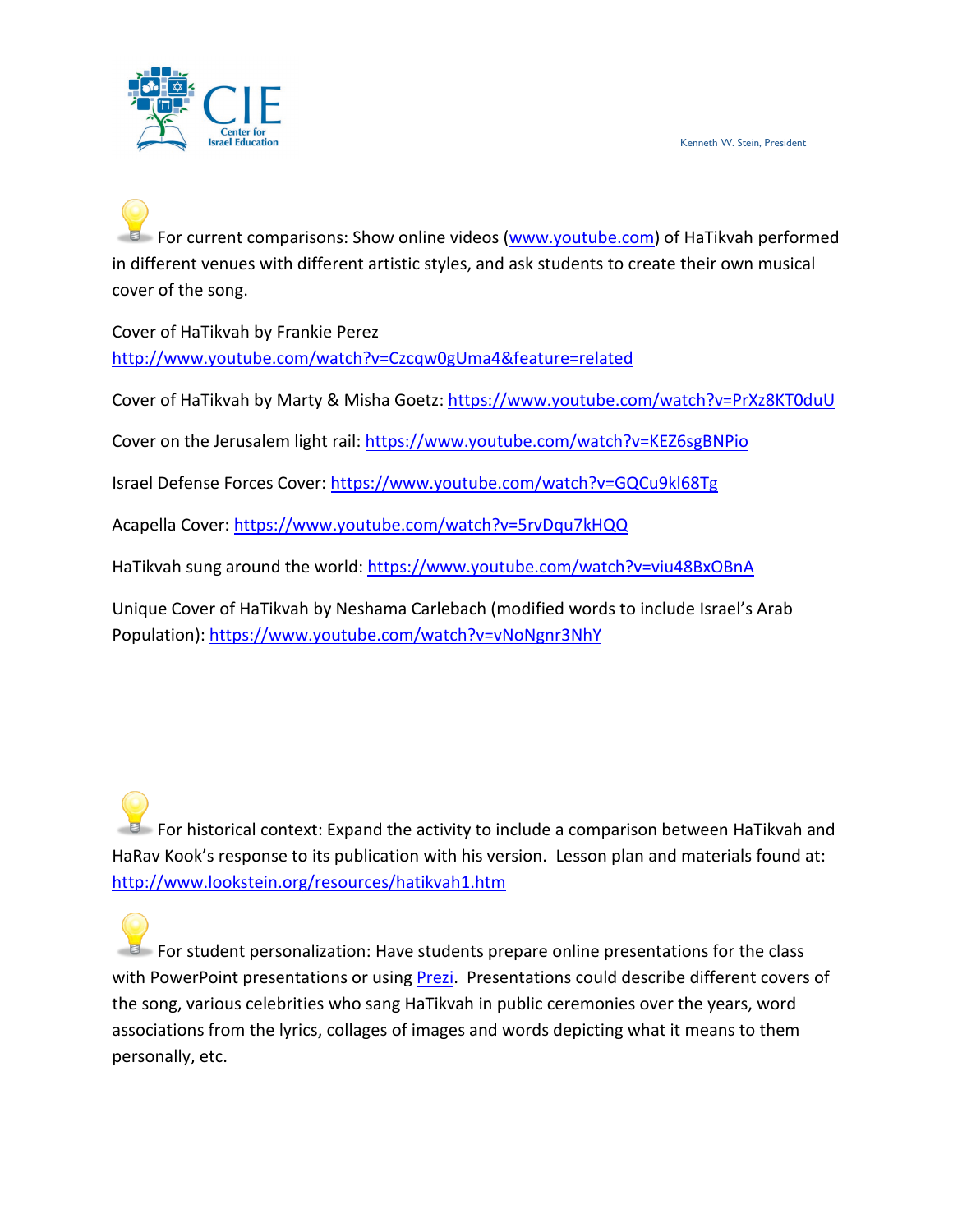

For current comparisons: Show online videos [\(www.youtube.com\)](http://www.youtube.com/) of HaTikvah performed in different venues with different artistic styles, and ask students to create their own musical cover of the song.

Cover of HaTikvah by Frankie Perez <http://www.youtube.com/watch?v=Czcqw0gUma4&feature=related>

Cover of HaTikvah by Marty & Misha Goetz:<https://www.youtube.com/watch?v=PrXz8KT0duU>

Cover on the Jerusalem light rail[: https://www.youtube.com/watch?v=KEZ6sgBNPio](https://www.youtube.com/watch?v=KEZ6sgBNPio)

Israel Defense Forces Cover:<https://www.youtube.com/watch?v=GQCu9kl68Tg>

Acapella Cover:<https://www.youtube.com/watch?v=5rvDqu7kHQQ>

HaTikvah sung around the world:<https://www.youtube.com/watch?v=viu48BxOBnA>

Unique Cover of HaTikvah by Neshama Carlebach (modified words to include Israel's Arab Population):<https://www.youtube.com/watch?v=vNoNgnr3NhY>

**E** For historical context: Expand the activity to include a comparison between HaTikvah and HaRav Kook's response to its publication with his version. Lesson plan and materials found at: <http://www.lookstein.org/resources/hatikvah1.htm>

**E** For student personalization: Have students prepare online presentations for the class with PowerPoint presentations or usin[g Prezi.](https://prezi.com/) Presentations could describe different covers of the song, various celebrities who sang HaTikvah in public ceremonies over the years, word associations from the lyrics, collages of images and words depicting what it means to them personally, etc.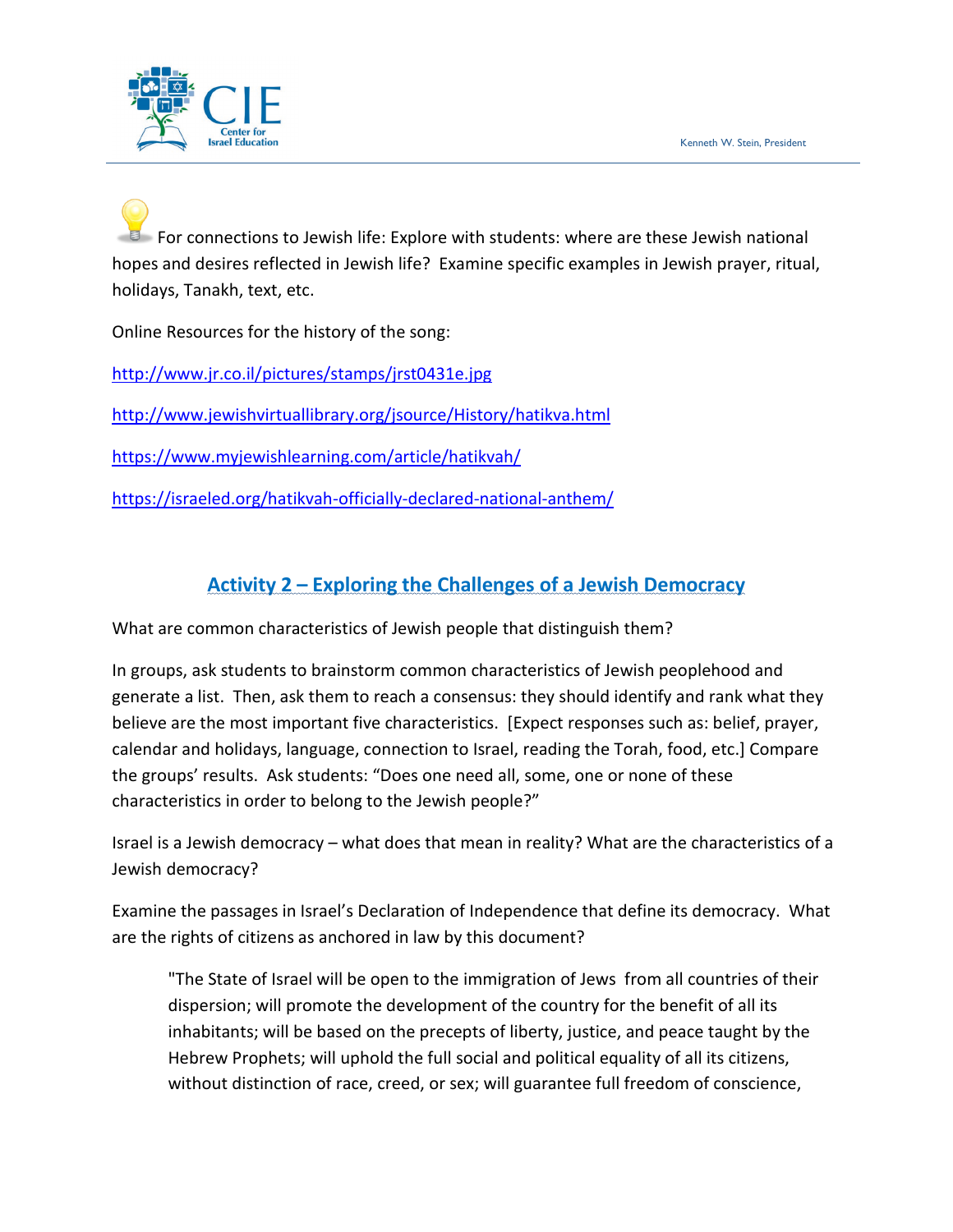

For connections to Jewish life: Explore with students: where are these Jewish national hopes and desires reflected in Jewish life? Examine specific examples in Jewish prayer, ritual, holidays, Tanakh, text, etc.

Online Resources for the history of the song:

<http://www.jr.co.il/pictures/stamps/jrst0431e.jpg>

<http://www.jewishvirtuallibrary.org/jsource/History/hatikva.html>

<https://www.myjewishlearning.com/article/hatikvah/>

<https://israeled.org/hatikvah-officially-declared-national-anthem/>

### **Activity 2 – Exploring the Challenges of a Jewish Democracy**

What are common characteristics of Jewish people that distinguish them?

In groups, ask students to brainstorm common characteristics of Jewish peoplehood and generate a list. Then, ask them to reach a consensus: they should identify and rank what they believe are the most important five characteristics. [Expect responses such as: belief, prayer, calendar and holidays, language, connection to Israel, reading the Torah, food, etc.] Compare the groups' results. Ask students: "Does one need all, some, one or none of these characteristics in order to belong to the Jewish people?"

Israel is a Jewish democracy – what does that mean in reality? What are the characteristics of a Jewish democracy?

Examine the passages in Israel's Declaration of Independence that define its democracy. What are the rights of citizens as anchored in law by this document?

"The State of Israel will be open to the immigration of Jews from all countries of their dispersion; will promote the development of the country for the benefit of all its inhabitants; will be based on the precepts of liberty, justice, and peace taught by the Hebrew Prophets; will uphold the full social and political equality of all its citizens, without distinction of race, creed, or sex; will guarantee full freedom of conscience,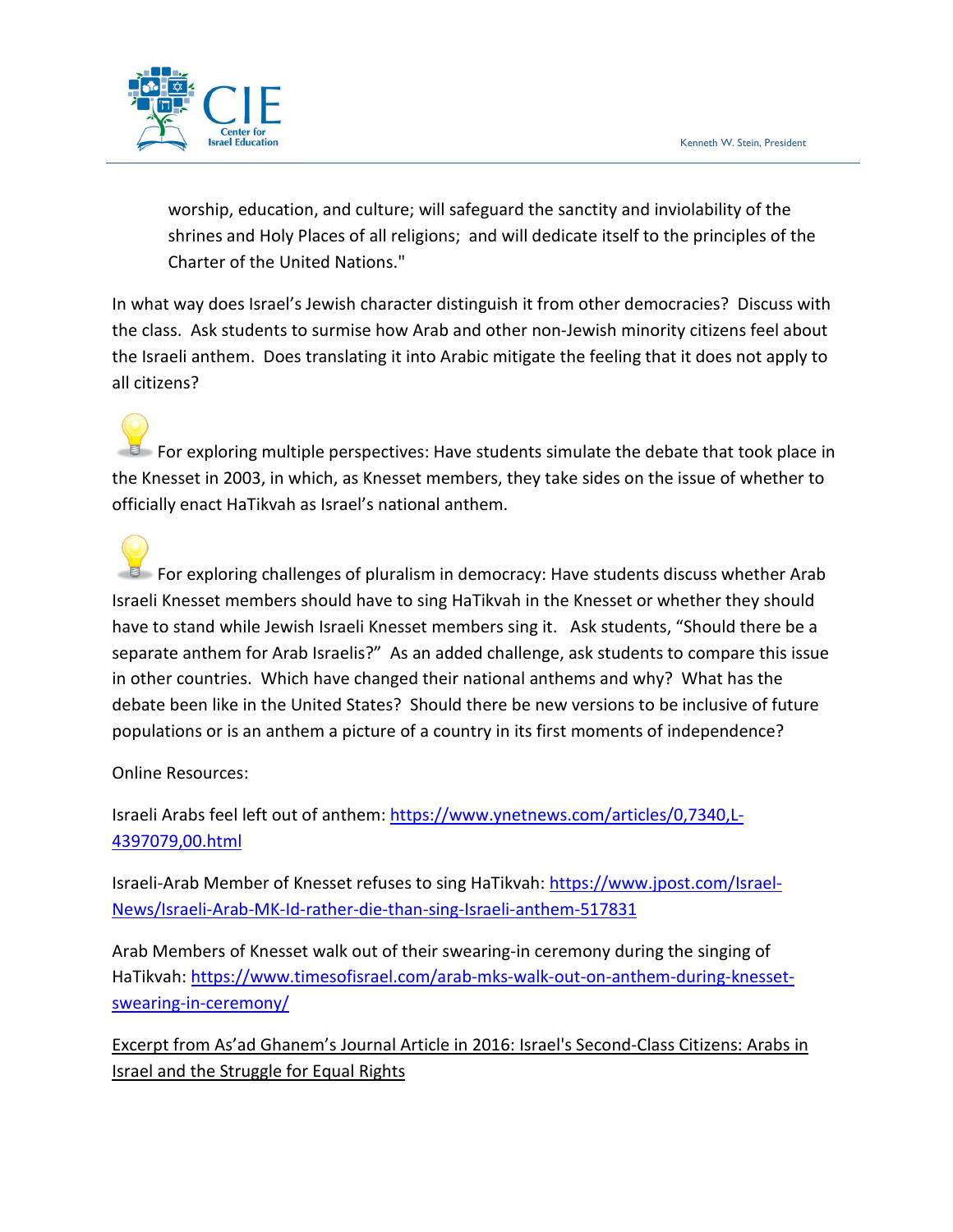

worship, education, and culture; will safeguard the sanctity and inviolability of the shrines and Holy Places of all religions; and will dedicate itself to the principles of the Charter of the United Nations."

In what way does Israel's Jewish character distinguish it from other democracies? Discuss with the class. Ask students to surmise how Arab and other non-Jewish minority citizens feel about the Israeli anthem. Does translating it into Arabic mitigate the feeling that it does not apply to all citizens?

**E** For exploring multiple perspectives: Have students simulate the debate that took place in the Knesset in 2003, in which, as Knesset members, they take sides on the issue of whether to officially enact HaTikvah as Israel's national anthem.

**E** For exploring challenges of pluralism in democracy: Have students discuss whether Arab Israeli Knesset members should have to sing HaTikvah in the Knesset or whether they should have to stand while Jewish Israeli Knesset members sing it. Ask students, "Should there be a separate anthem for Arab Israelis?" As an added challenge, ask students to compare this issue in other countries. Which have changed their national anthems and why? What has the debate been like in the United States? Should there be new versions to be inclusive of future populations or is an anthem a picture of a country in its first moments of independence?

Online Resources:

Israeli Arabs feel left out of anthem[: https://www.ynetnews.com/articles/0,7340,L-](https://www.ynetnews.com/articles/0,7340,L-4397079,00.html)[4397079,00.html](https://www.ynetnews.com/articles/0,7340,L-4397079,00.html)

Israeli-Arab Member of Knesset refuses to sing HaTikvah: [https://www.jpost.com/Israel-](https://www.jpost.com/Israel-News/Israeli-Arab-MK-Id-rather-die-than-sing-Israeli-anthem-517831)[News/Israeli-Arab-MK-Id-rather-die-than-sing-Israeli-anthem-517831](https://www.jpost.com/Israel-News/Israeli-Arab-MK-Id-rather-die-than-sing-Israeli-anthem-517831)

[Arab Members of Knesset walk out of their swearing-in ceremony during the singing of](https://www.timesofisrael.com/arab-mks-walk-out-on-anthem-during-knesset-swearing-in-ceremony/)  [HaTikvah: https://www.timesofisrael.com/arab-mks-walk-out-on-anthem-during-knesset](https://www.timesofisrael.com/arab-mks-walk-out-on-anthem-during-knesset-swearing-in-ceremony/)[swearing-in-ceremony/](https://www.timesofisrael.com/arab-mks-walk-out-on-anthem-during-knesset-swearing-in-ceremony/)

Excerpt from As'ad Ghanem's Journal Article in 2016: Israel's Second-Class Citizens: Arabs in Israel and the Struggle for Equal Rights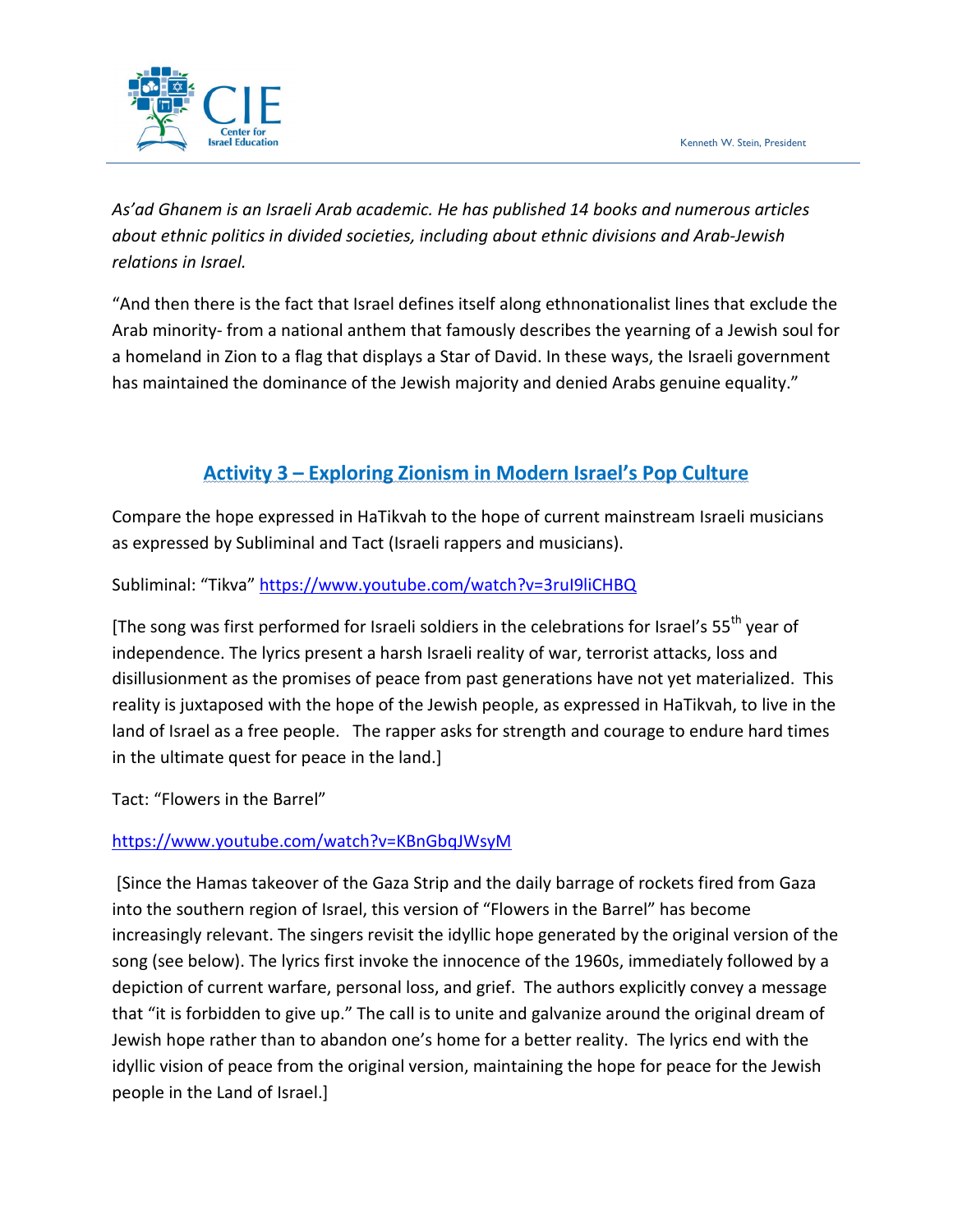

*As'ad Ghanem is an Israeli Arab academic. He has published 14 books and numerous articles about ethnic politics in divided societies, including about ethnic divisions and Arab-Jewish relations in Israel.*

"And then there is the fact that Israel defines itself along ethnonationalist lines that exclude the Arab minority- from a national anthem that famously describes the yearning of a Jewish soul for a homeland in Zion to a flag that displays a Star of David. In these ways, the Israeli government has maintained the dominance of the Jewish majority and denied Arabs genuine equality."

# **Activity 3 – Exploring Zionism in Modern Israel's Pop Culture**

Compare the hope expressed in HaTikvah to the hope of current mainstream Israeli musicians as expressed by Subliminal and Tact (Israeli rappers and musicians).

Subliminal: "Tikva[" https://www.youtube.com/watch?v=3ruI9liCHBQ](https://www.youtube.com/watch?v=3ruI9liCHBQ)

[The song was first performed for Israeli soldiers in the celebrations for Israel's 55<sup>th</sup> year of independence. The lyrics present a harsh Israeli reality of war, terrorist attacks, loss and disillusionment as the promises of peace from past generations have not yet materialized. This reality is juxtaposed with the hope of the Jewish people, as expressed in HaTikvah, to live in the land of Israel as a free people. The rapper asks for strength and courage to endure hard times in the ultimate quest for peace in the land.]

Tact: "Flowers in the Barrel"

### <https://www.youtube.com/watch?v=KBnGbqJWsyM>

[Since the Hamas takeover of the Gaza Strip and the daily barrage of rockets fired from Gaza into the southern region of Israel, this version of "Flowers in the Barrel" has become increasingly relevant. The singers revisit the idyllic hope generated by the original version of the song (see below). The lyrics first invoke the innocence of the 1960s, immediately followed by a depiction of current warfare, personal loss, and grief. The authors explicitly convey a message that "it is forbidden to give up." The call is to unite and galvanize around the original dream of Jewish hope rather than to abandon one's home for a better reality. The lyrics end with the idyllic vision of peace from the original version, maintaining the hope for peace for the Jewish people in the Land of Israel.]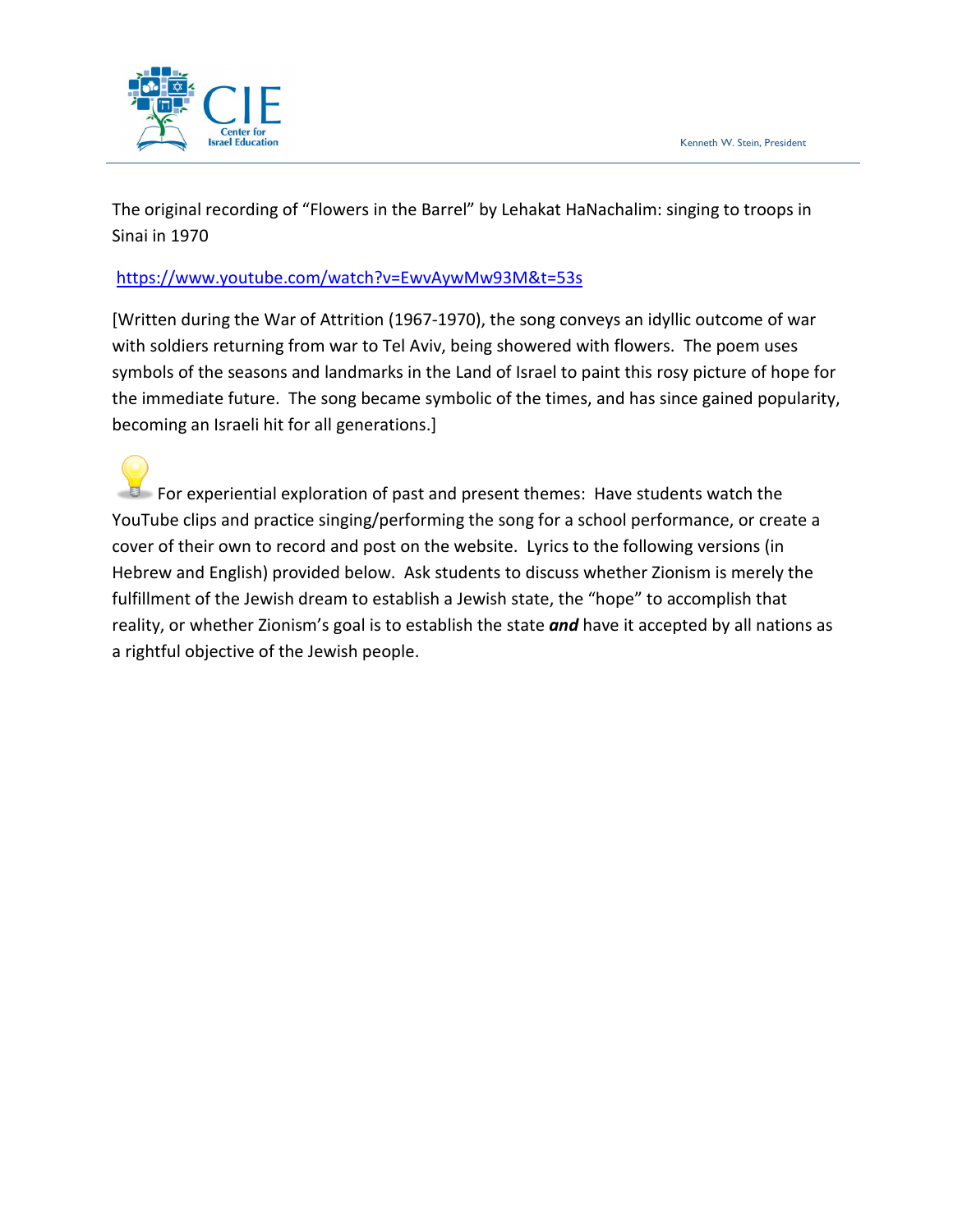

The original recording of "Flowers in the Barrel" by Lehakat HaNachalim: singing to troops in Sinai in 1970

#### <https://www.youtube.com/watch?v=EwvAywMw93M&t=53s>

[Written during the War of Attrition (1967-1970), the song conveys an idyllic outcome of war with soldiers returning from war to Tel Aviv, being showered with flowers. The poem uses symbols of the seasons and landmarks in the Land of Israel to paint this rosy picture of hope for the immediate future. The song became symbolic of the times, and has since gained popularity, becoming an Israeli hit for all generations.]

**E** For experiential exploration of past and present themes: Have students watch the YouTube clips and practice singing/performing the song for a school performance, or create a cover of their own to record and post on the website. Lyrics to the following versions (in Hebrew and English) provided below. Ask students to discuss whether Zionism is merely the fulfillment of the Jewish dream to establish a Jewish state, the "hope" to accomplish that reality, or whether Zionism's goal is to establish the state *and* have it accepted by all nations as a rightful objective of the Jewish people.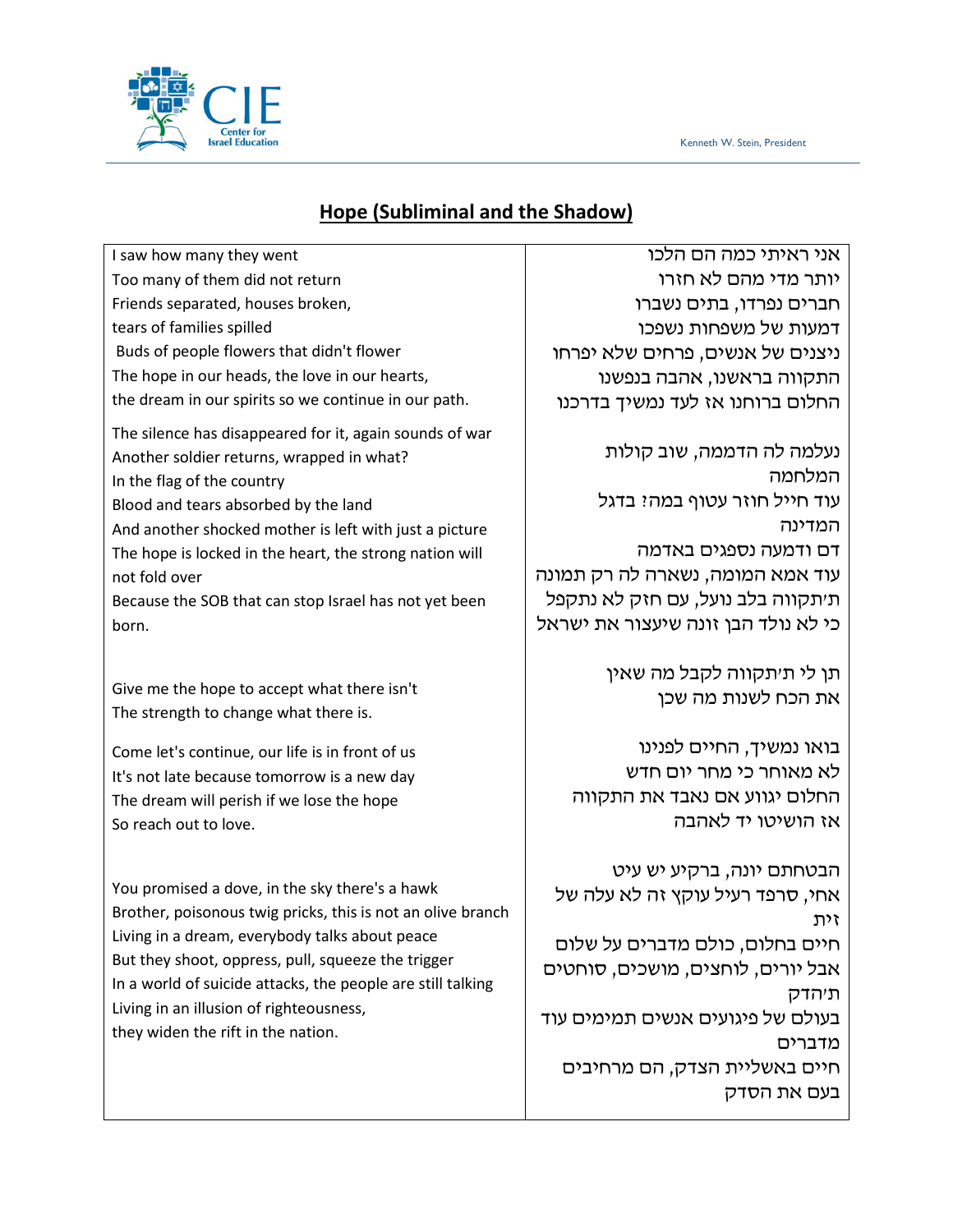#### Kenneth W. Stein, President



### **Hope (Subliminal and the Shadow)**

I saw how many they went Too many of them did not return Friends separated, houses broken, tears of families spilled Buds of people flowers that didn't flower The hope in our heads, the love in our hearts, the dream in our spirits so we continue in our path. The silence has disappeared for it, again sounds of war Another soldier returns, wrapped in what? In the flag of the country Blood and tears absorbed by the land And another shocked mother is left with just a picture The hope is locked in the heart, the strong nation will not fold over Because the SOB that can stop Israel has not yet been born.

Give me the hope to accept what there isn't The strength to change what there is.

Come let's continue, our life is in front of us It's not late because tomorrow is a new day The dream will perish if we lose the hope So reach out to love.

You promised a dove, in the sky there's a hawk Brother, poisonous twig pricks, this is not an olive branch Living in a dream, everybody talks about peace But they shoot, oppress, pull, squeeze the trigger In a world of suicide attacks, the people are still talking Living in an illusion of righteousness, they widen the rift in the nation.

אני ראיתי כמה הם הלכו יותר מדי מהם לא חזרו חברים נפרדו, בתים נשברו דמעות של משפחות נשפכו ניצנים של אנשים, פרחים שלא יפרחו התקווה בראשנו, אהבה בנפשנו החלום ברוחנו אז לעד נמשיך בדרכנו

נעלמה לה הדממה, שוב קולות המלחמה עוד חייל חוזר עטוף במה? בדגל המדינה דם ודמעה נספגים באדמה עוד אמא המומה, נשארה לה רק תמונה ת'תקווה בלב נועל, עם חזק לא נתקפל כי לא נולד הבן זונה שיעצור את ישראל

> תן לי ת'תקווה לקבל מה שאין את הכח לשנות מה שכן

בואו נמשיך, החיים לפנינו לא מאוחר כי מחר יום חדש החלום יגווע אם נאבד את התקווה אז הושיטו יד לאהבה

הבטחתם יונה, ברקיע יש עיט אחי, סרפד רעיל עוקץ זה לא עלה של זית חיים בחלום, כולם מדברים על שלום אבל יורים, לוחצים, מושכים, סוחטים ת'הדק בעולם של פיגועים אנשים תמימים עוד מדברים חיים באשליית הצדק, הם מרחיבים בעם את הסדק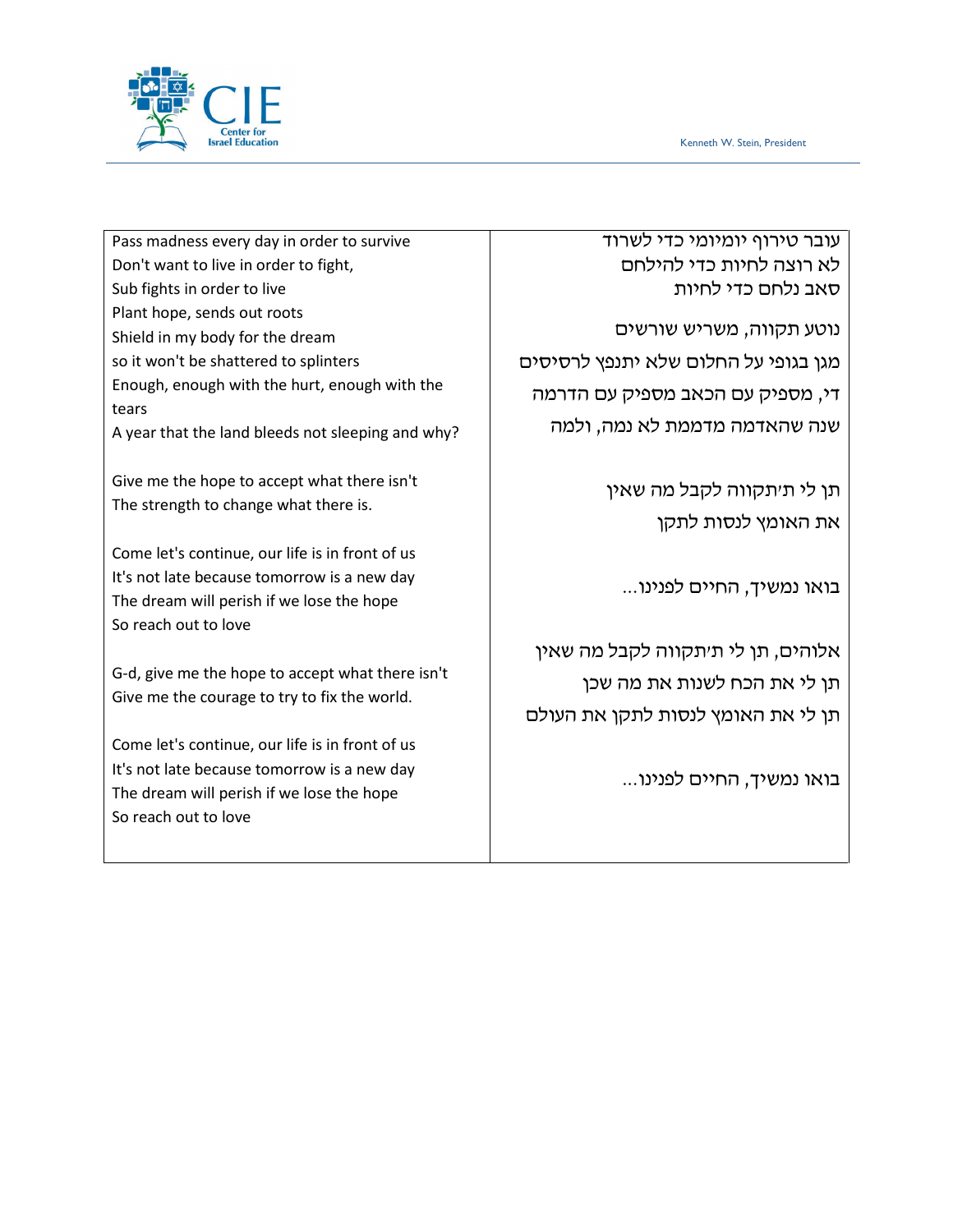

Pass madness every day in order to survive Don't want to live in order to fight, Sub fights in order to live Plant hope, sends out roots Shield in my body for the dream so it won't be shattered to splinters Enough, enough with the hurt, enough with the tears A year that the land bleeds not sleeping and why?

Give me the hope to accept what there isn't The strength to change what there is.

Come let's continue, our life is in front of us It's not late because tomorrow is a new day The dream will perish if we lose the hope So reach out to love

G-d, give me the hope to accept what there isn't Give me the courage to try to fix the world.

Come let's continue, our life is in front of us It's not late because tomorrow is a new day The dream will perish if we lose the hope So reach out to love

עובר טירוף יומיומי כדי לשרוד לא רוצה לחיות כדי להילחם סאב נלחם כדי לחיות

נוטע תקווה, משריש שורשים

מגן בגופי על החלום שלא יתנפץ לרסיסים די, מספיק עם הכאב מספיק עם הדרמה שנה שהאדמה מדממת לא נמה, ולמה

> תן לי ת'תקווה לקבל מה שאין את האומץ לנסות לתקן

בואו נמשיך, החיים לפנינו...

אלוהים, תן לי ת'תקווה לקבל מה שאין תן לי את הכח לשנות את מה שכן תן לי את האומץ לנסות לתקן את העולם

בואו נמשיך, החיים לפנינו...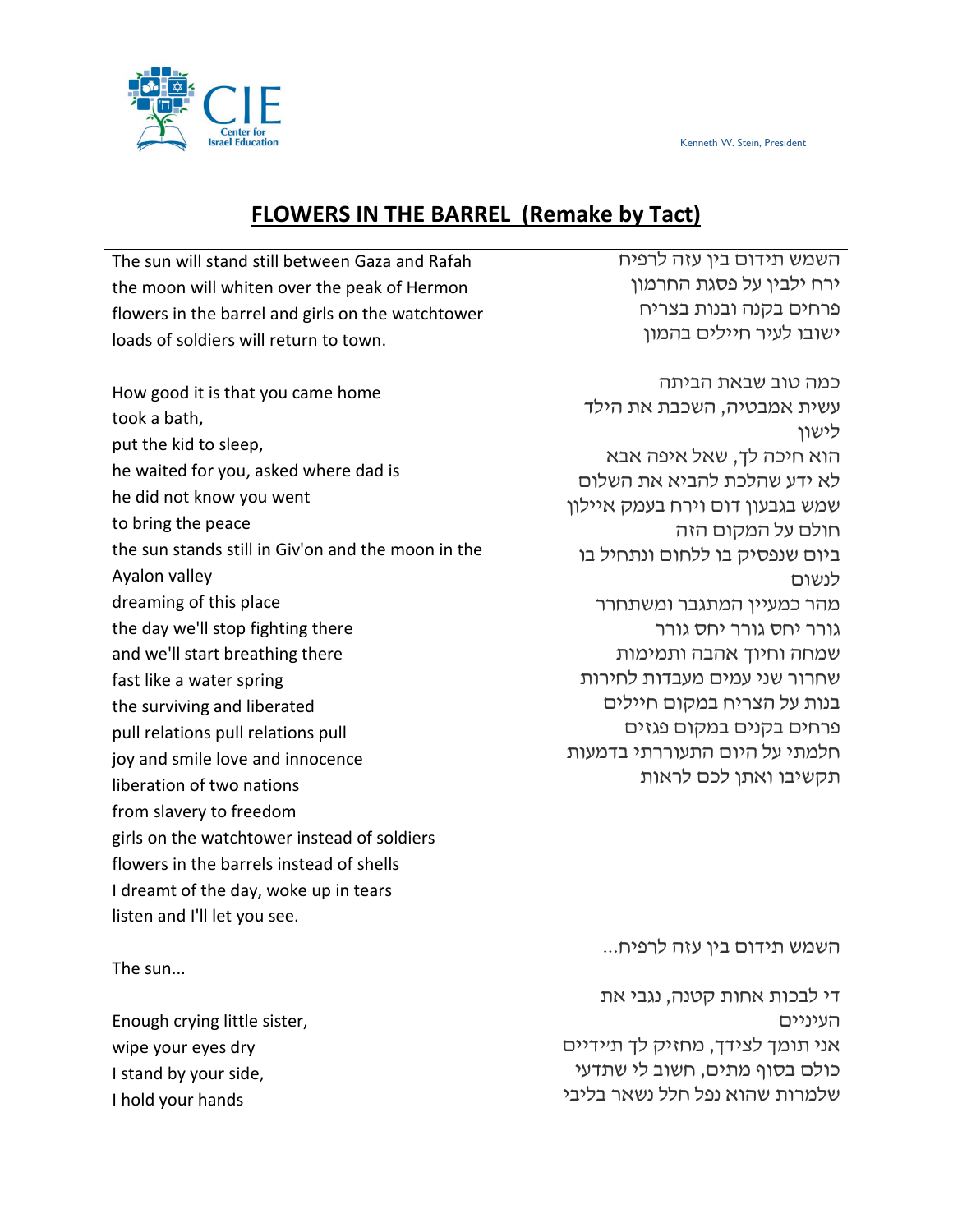לישון

לנשום

העיניים



# **FLOWERS IN THE BARREL (Remake by Tact)**

The sun will stand still between Gaza and Rafah the moon will whiten over the peak of Hermon flowers in the barrel and girls on the watchtower loads of soldiers will return to town. How good it is that you came home took a bath, put the kid to sleep, he waited for you, asked where dad is he did not know you went to bring the peace the sun stands still in Giv'on and the moon in the Ayalon valley dreaming of this place the day we'll stop fighting there and we'll start breathing there fast like a water spring the surviving and liberated pull relations pull relations pull joy and smile love and innocence liberation of two nations from slavery to freedom girls on the watchtower instead of soldiers flowers in the barrels instead of shells I dreamt of the day, woke up in tears listen and I'll let you see. The sun... Enough crying little sister, wipe your eyes dry I stand by your side, I hold your hands השמש תידום בין עזה לרפיח ירח ילבין על פסגת החרמון פרחים בקנה ובנות בצריח ישובו לעיר חיילים בהמון כמה טוב שבאת הביתה עשית אמבטיה, השכבת את הילד הוא חיכה לך, שאל איפה אבא לא ידע שהלכת להביא את השלום שמש בגבעון דום וירח בעמק איילון חולם על המקום הזה ביום שנפסיק בו ללחום ונתחיל בו מהר כמעיין המתגבר ומשתחרר גורר יחס גורר יחס גורר שמחה וחיוך אהבה ותמימות שחרור שני עמים מעבדות לחירות בנות על הצריח במקום חיילים פרחים בקנים במקום פגזים חלמתי על היום התעוררתי בדמעות תקשיבו ואתן לכם לראות השמש תידום בין עזה לרפיח... די לבכות אחות קטנה, נגבי את אני תומך לצידך, מחזיק לך ת'ידיים כולם בסוף מתים, חשוב לי שתדעי שלמרות שהוא נפל חלל נשאר בליבי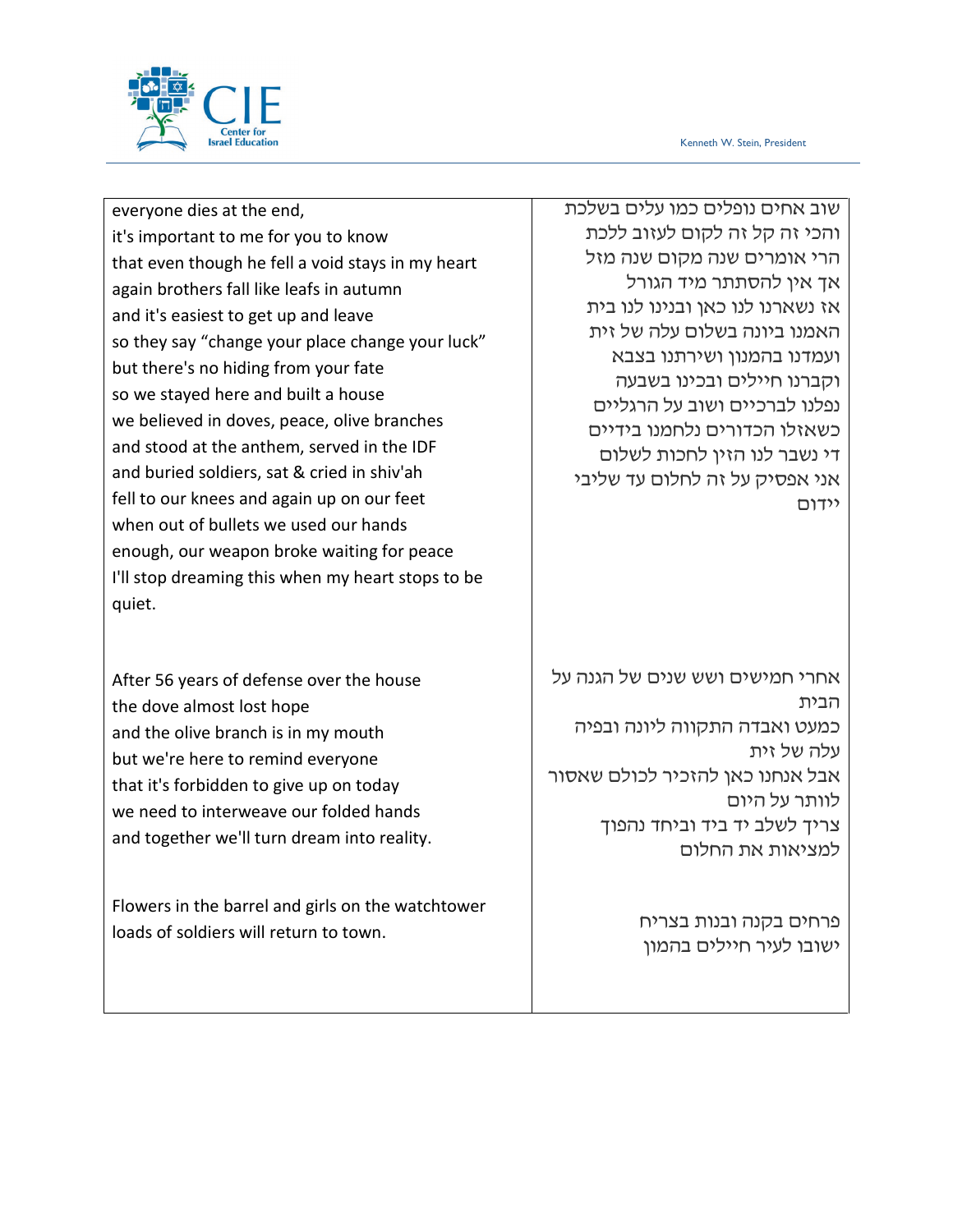

everyone dies at the end, it's important to me for you to know that even though he fell a void stays in my heart again brothers fall like leafs in autumn and it's easiest to get up and leave so they say "change your place change your luck" but there's no hiding from your fate so we stayed here and built a house we believed in doves, peace, olive branches and stood at the anthem, served in the IDF and buried soldiers, sat & cried in shiv'ah fell to our knees and again up on our feet when out of bullets we used our hands enough, our weapon broke waiting for peace I'll stop dreaming this when my heart stops to be quiet.

After 56 years of defense over the house the dove almost lost hope and the olive branch is in my mouth but we're here to remind everyone that it's forbidden to give up on today we need to interweave our folded hands and together we'll turn dream into reality.

Flowers in the barrel and girls on the watchtower loads of soldiers will return to town.

שוב אחים נופלים כמו עלים בשלכת והכי זה קל זה לקום לעזוב ללכת הרי אומרים שנה מקום שנה מזל אך אין להסתתר מיד הגורל אז נשארנו לנו כאן ובנינו לנו בית האמנו ביונה בשלום עלה של זית ועמדנו בהמנון ושירתנו בצבא וקברנו חיילים ובכינו בשבעה נפלנו לברכיים ושוב על הרגליים כשאזלו הכדורים נלחמנו בידיים די נשבר לנו הזין לחכות לשלום אני אפסיק על זה לחלום עד שליבי יידום

אחרי חמישים ושש שנים של הגנה על הבית כמעט ואבדה התקווה ליונה ובפיה עלה של זית אבל אנחנו כאן להזכיר לכולם שאסור לוותר על היום צריך לשלב יד ביד וביחד נהפוך למציאות את החלום

> פרחים בקנה ובנות בצריח ישובו לעיר חיילים בהמון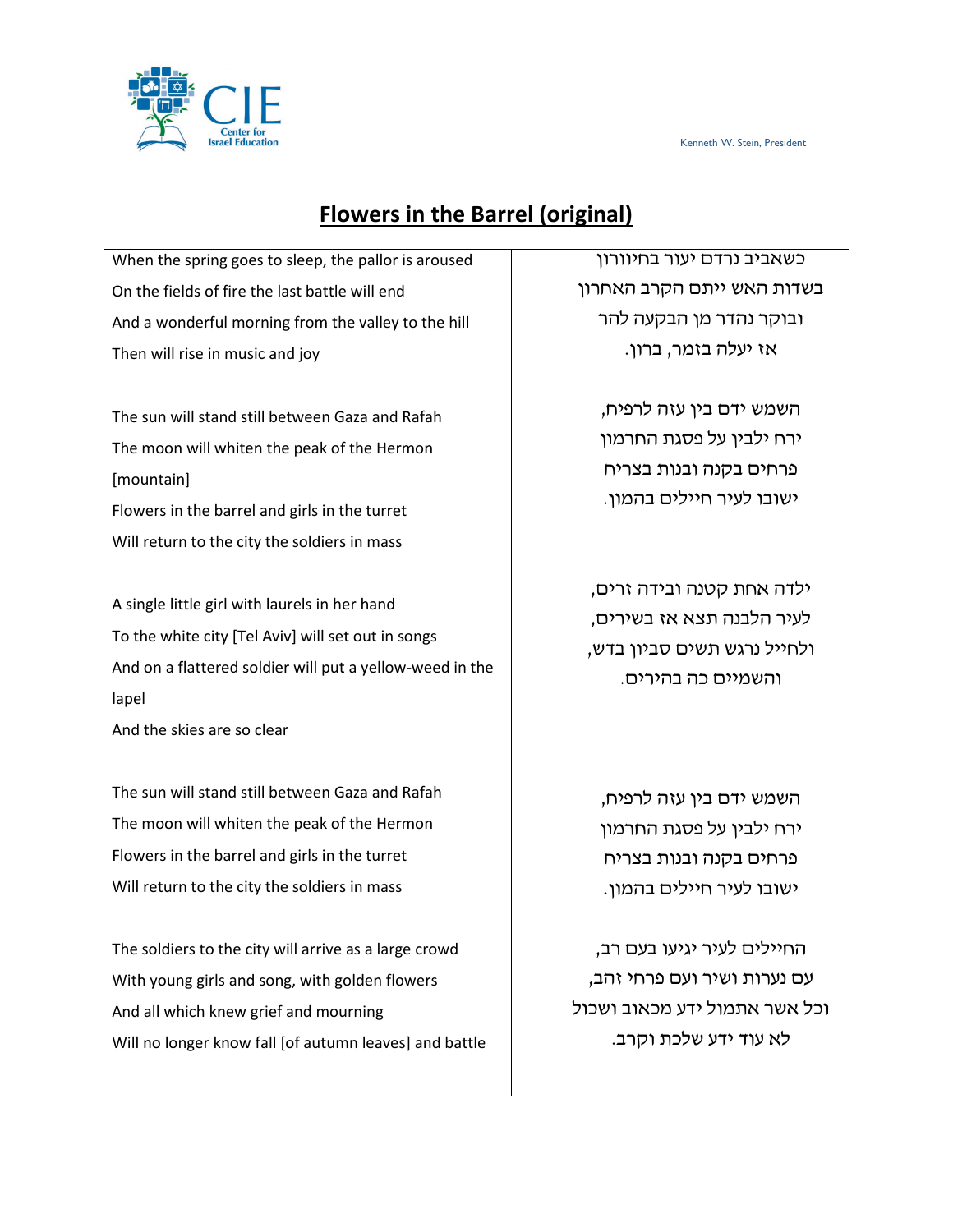

# **Flowers in the Barrel (original)**

When the spring goes to sleep, the pallor is aroused On the fields of fire the last battle will end And a wonderful morning from the valley to the hill Then will rise in music and joy

The sun will stand still between Gaza and Rafah The moon will whiten the peak of the Hermon [mountain] Flowers in the barrel and girls in the turret Will return to the city the soldiers in mass

A single little girl with laurels in her hand To the white city [Tel Aviv] will set out in songs And on a flattered soldier will put a yellow-weed in the lapel

And the skies are so clear

The sun will stand still between Gaza and Rafah The moon will whiten the peak of the Hermon Flowers in the barrel and girls in the turret Will return to the city the soldiers in mass

The soldiers to the city will arrive as a large crowd With young girls and song, with golden flowers And all which knew grief and mourning Will no longer know fall [of autumn leaves] and battle

כשאביב נרדם יעור בחיוורון בשדות האש ייתם הקרב האחרון ובוקר נהדר מן הבקעה להר אז יעלה בזמר, ברון.

השמש ידם בין עזה לרפיח, ירח ילבין על פסגת החרמון פרחים בקנה ובנות בצריח ישובו לעיר חיילים בהמון.

ילדה אחת קטנה ובידה זרים, לעיר הלבנה תצא אז בשירים, ולחייל נרגש תשים סביון בדש, והשמיים כה בהירים.

השמש ידם בין עזה לרפיח, ירח ילבין על פסגת החרמון פרחים בקנה ובנות בצריח ישובו לעיר חיילים בהמון.

החיילים לעיר יגיעו בעם רב, עם נערות ושיר ועם פרחי זהב, וכל אשר אתמול ידע מכאוב ושכול לא עוד ידע שלכת וקרב.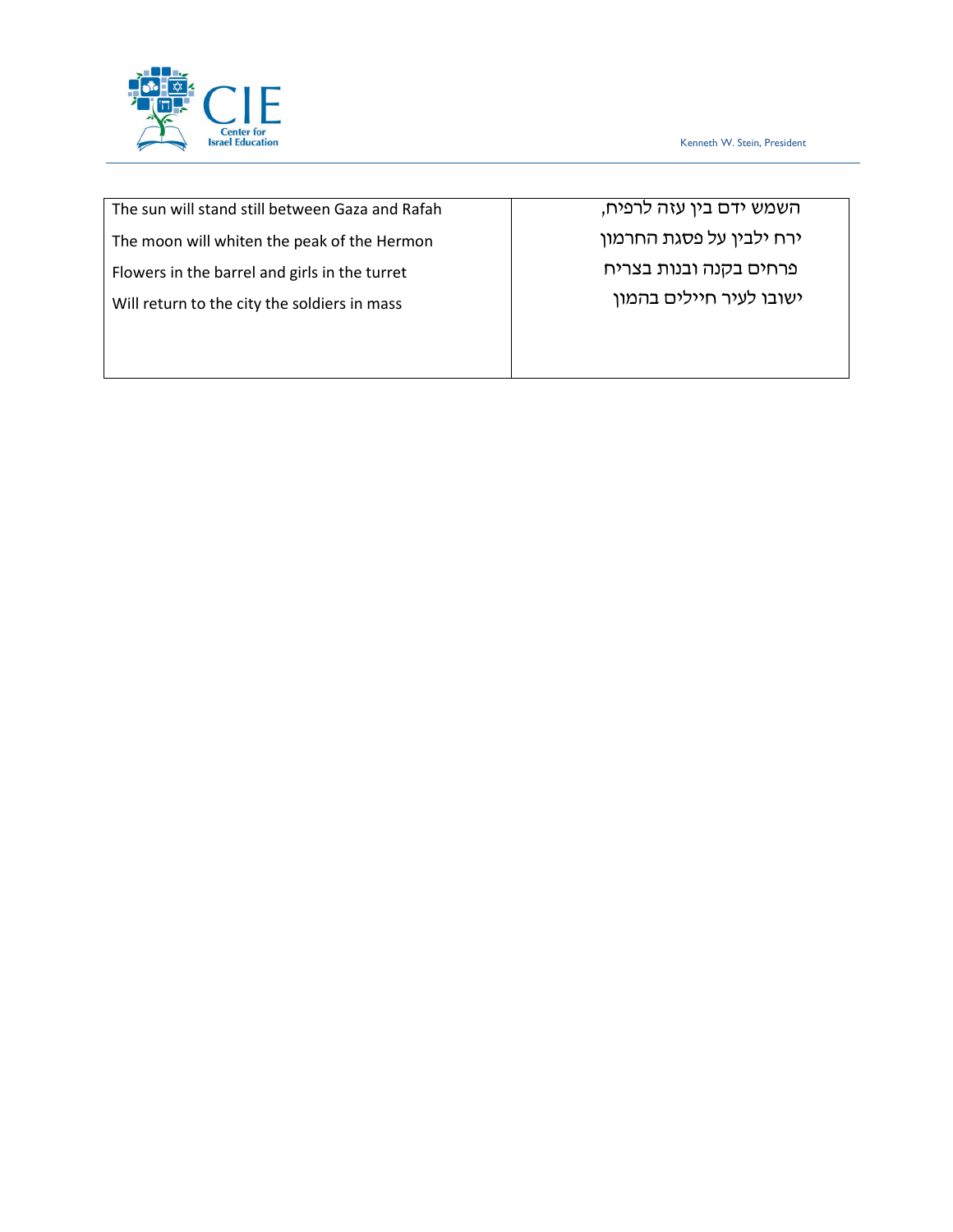

| The sun will stand still between Gaza and Rafah | השמש ידם בין עזה לרפיח,  |
|-------------------------------------------------|--------------------------|
| The moon will whiten the peak of the Hermon     | ירח ילבין על פסגת החרמון |
| Flowers in the barrel and girls in the turret   | פרחים בקנה ובנות בצריח   |
| Will return to the city the soldiers in mass    | ישובו לעיר חיילים בהמון  |
|                                                 |                          |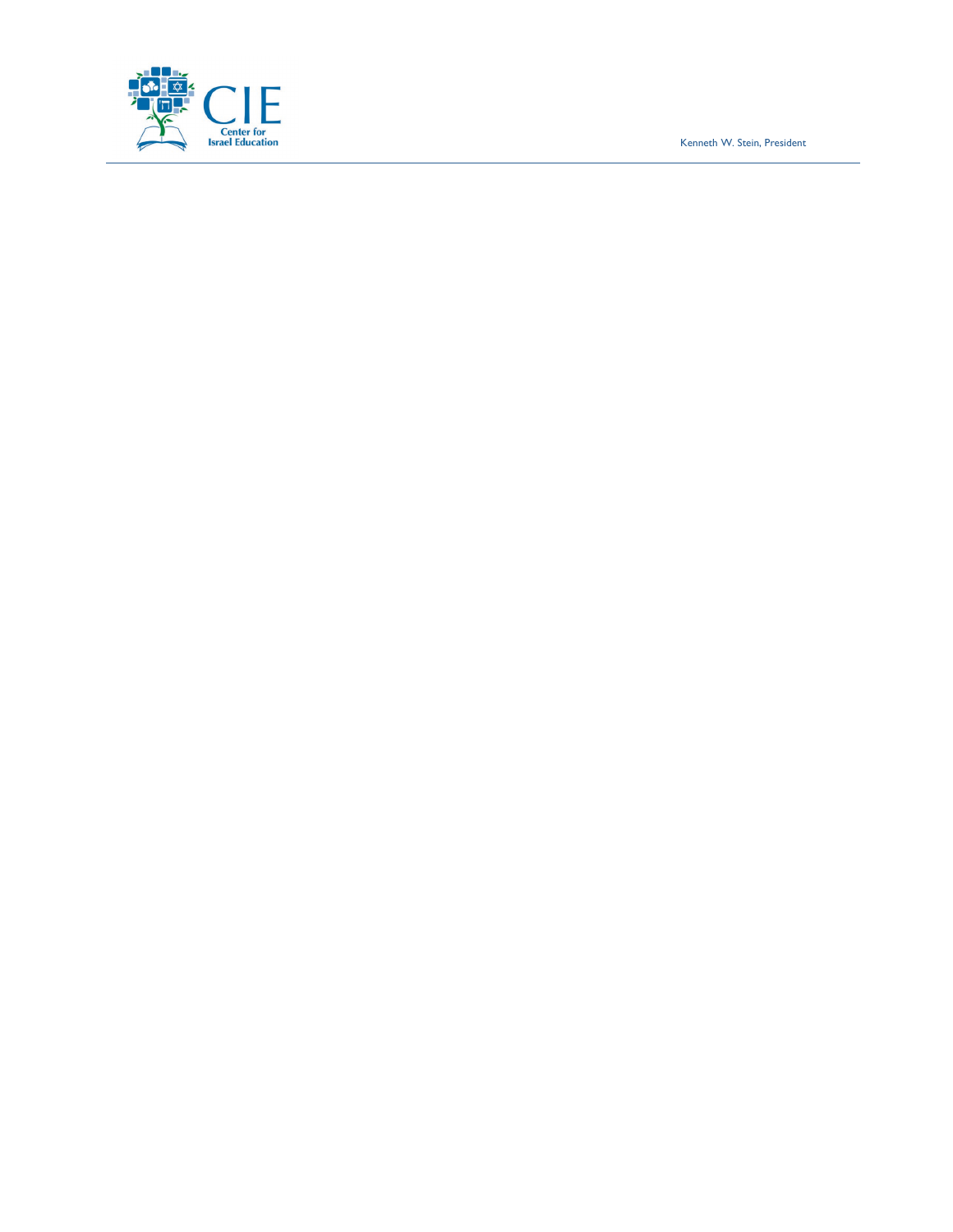

Kenneth W. Stein, President